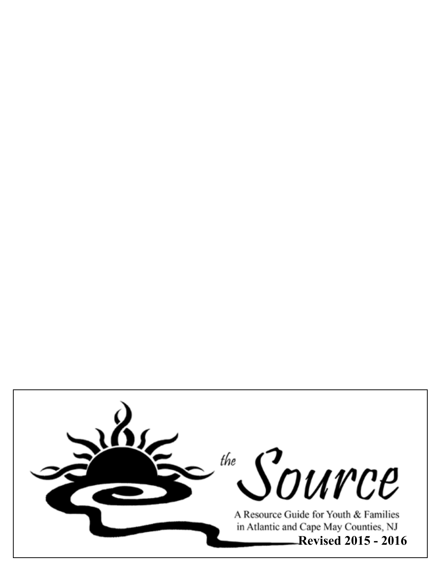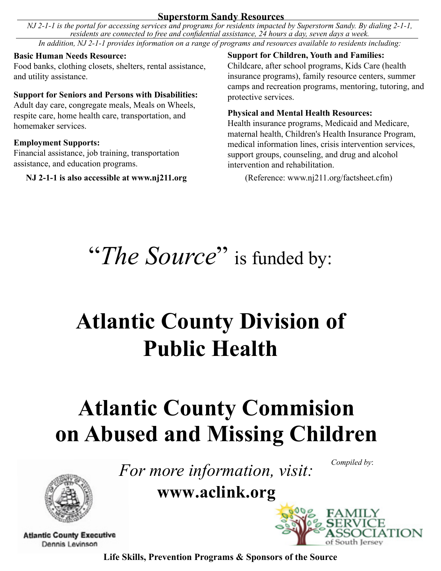# **Superstorm Sandy Resources**

*NJ 2-1-1 is the portal for accessing services and programs for residents impacted by Superstorm Sandy. By dialing 2-1-1, residents are connected to free and confidential assistance, 24 hours a day, seven days a week. In addition, NJ 2-1-1 provides information on a range of programs and resources available to residents including:*

# **Basic Human Needs Resource:**

Food banks, clothing closets, shelters, rental assistance, and utility assistance.

# **Support for Seniors and Persons with Disabilities:**

Adult day care, congregate meals, Meals on Wheels, respite care, home health care, transportation, and homemaker services.

# **Employment Supports:**

Financial assistance, job training, transportation assistance, and education programs.

# **NJ 2-1-1 is also accessible at www.nj211.org** (Reference: www.nj211.org/factsheet.cfm)

**Support for Children, Youth and Families:** Childcare, after school programs, Kids Care (health insurance programs), family resource centers, summer camps and recreation programs, mentoring, tutoring, and protective services.

# **Physical and Mental Health Resources:**

Health insurance programs, Medicaid and Medicare, maternal health, Children's Health Insurance Program, medical information lines, crisis intervention services, support groups, counseling, and drug and alcohol intervention and rehabilitation.

"The Source" is funded by:

# **Atlantic County Division of Public Health**

# **Atlantic County Commision on Abused and Missing Children**

*For more information, visit:*

*Compiled by*:





**Atlantic County Executive** Dennis Levinson

**Life Skills, Prevention Programs & Sponsors of the Source**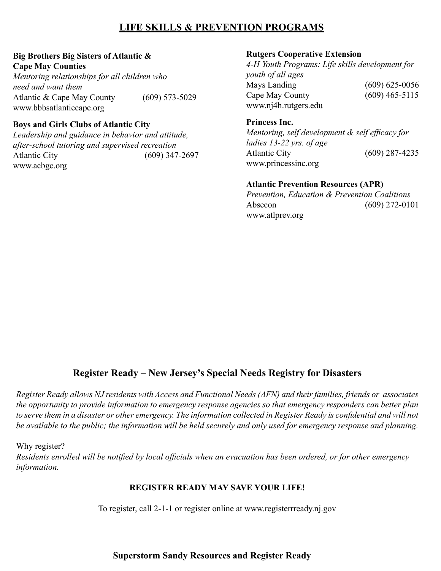# **LIFE SKILLS & PREVENTION PROGRAMS**

#### **Big Brothers Big Sisters of Atlantic & Cape May Counties**

*Mentoring relationships for all children who need and want them*  Atlantic & Cape May County (609) 573-5029 www.bbbsatlanticcape.org

#### **Boys and Girls Clubs of Atlantic City**

*Leadership and guidance in behavior and attitude, after-school tutoring and supervised recreation* Atlantic City (609) 347-2697 www.acbgc.org

#### **Rutgers Cooperative Extension**

*4-H Youth Programs: Life skills development for youth of all ages*  Mays Landing (609) 625-0056 Cape May County (609) 465-5115 www.nj4h.rutgers.edu

#### **Princess Inc.**

*Mentoring, self development & self efficacy for ladies 13-22 yrs. of age*  Atlantic City (609) 287-4235 www.princessinc.org

#### **Atlantic Prevention Resources (APR)**

*Prevention, Education & Prevention Coalitions* Absecon (609) 272-0101 www.atlprev.org

# **Register Ready – New Jersey's Special Needs Registry for Disasters**

*Register Ready allows NJ residents with Access and Functional Needs (AFN) and their families, friends or associates the opportunity to provide information to emergency response agencies so that emergency responders can better plan to serve them in a disaster or other emergency. The information collected in Register Ready is confidential and will not*  be available to the public; the information will be held securely and only used for emergency response and planning.

Why register?

*Residents enrolled will be notified by local officials when an evacuation has been ordered, or for other emergency information.* 

#### **REGISTER READY MAY SAVE YOUR LIFE!**

To register, call 2-1-1 or register online at www.registerrready.nj.gov

# **Superstorm Sandy Resources and Register Ready**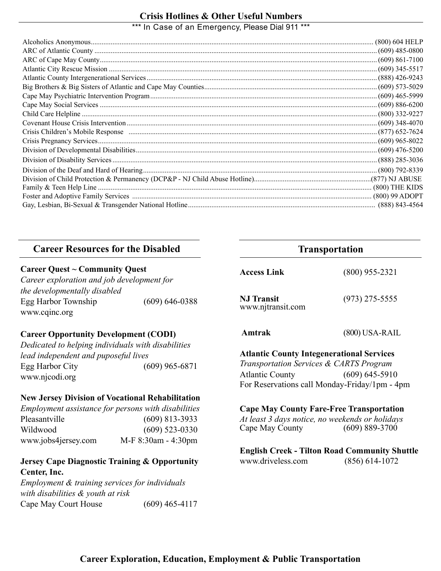# \*\*\* In Case of an Emergency, Please Dial 911 \*\*\* **Crisis Hotlines & Other Useful Numbers**

# **Career Resources for the Disabled <b>Transportation**

#### **Career Quest ~ Community Quest**

*Career exploration and job development for the developmentally disabled*  Egg Harbor Township (609) 646-0388 www.cqinc.org

#### **Career Opportunity Development (CODI)**

*Dedicated to helping individuals with disabilities lead independent and puposeful lives* Egg Harbor City (609) 965-6871 www.njcodi.org

#### **New Jersey Division of Vocational Rehabilitation**

*Employment assistance for persons with disabilities* Pleasantville (609) 813-3933 Wildwood (609) 523-0330 www.jobs4jersey.com M-F 8:30am - 4:30pm

#### **Jersey Cape Diagnostic Training & Opportunity Center, Inc.**

*Employment & training services for individuals with disabilities & youth at risk* Cape May Court House (609) 465-4117

| <b>Access Link</b>                     | $(800)$ 955-2321 |
|----------------------------------------|------------------|
| <b>NJ Transit</b><br>www.njtransit.com | $(973)$ 275-5555 |

 **Amtrak** (800) USA-RAIL

#### **Atlantic County Integenerational Services**

*Transportation Services & CARTS Program* Atlantic County (609) 645-5910 For Reservations call Monday-Friday/1pm - 4pm

#### **Cape May County Fare-Free Transportation**

*At least 3 days notice, no weekends or holidays* Cape May County

**English Creek - Tilton Road Community Shuttle** www.driveless.com (856) 614-1072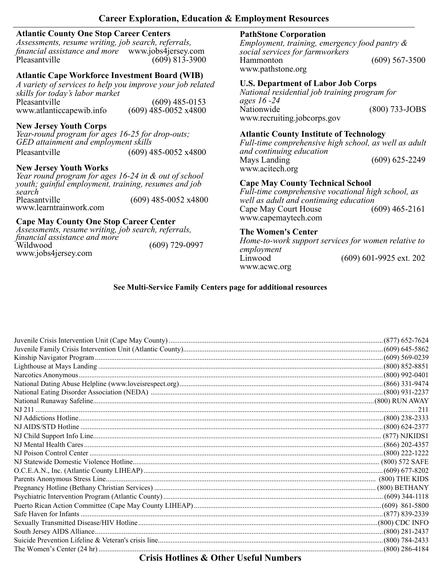#### **Career Exploration, Education & Employment Resources**

#### **Atlantic County One Stop Career Centers**

*Assessments, resume writing, job search, referrals, financial assistance and more* www.jobs4jersey.com Pleasantville (609) 813-3900

# **Atlantic Cape Workforce Investment Board (WIB)**

*A variety of services to help you improve your job related skills for today's labor market* Pleasantville (609) 485-0153 www.atlanticcapewib.info (609) 485-0052 x4800

#### **New Jersey Youth Corps**

*Year-round program for ages 16-25 for drop-outs; GED attainment and employment skills* Pleasantville (609) 485-0052 x4800

#### **New Jersey Youth Works**

*Year round program for ages 16-24 in & out of school youth; gainful employment, training, resumes and job search* Pleasantville (609) 485-0052 x4800 www.learntrainwork.com

#### **Cape May County One Stop Career Center**

*Assessments, resume writing, job search, referrals, financial assistance and more*  $(609)$  729-0997 www.jobs4jersey.com

# **PathStone Corporation**

*Employment, training, emergency food pantry & social services for farmworkers* Hammonton (609) 567-3500 www.pathstone.org

#### **U.S. Department of Labor Job Corps**

*National residential job training program for ages 16 -24* Nationwide (800) 733-JOBS www.recruiting.jobcorps.gov

#### **Atlantic County Institute of Technology**

*Full-time comprehensive high school, as well as adult and continuing education* Mays Landing (609) 625-2249 www.acitech.org

## **Cape May County Technical School**

*Full-time comprehensive vocational high school, as well as adult and continuing education* Cape May Court House (609) 465-2161 www.capemaytech.com

#### **The Women's Center**

*Home-to-work support services for women relative to employment* (609) 601-9925 ext. 202 www.acwc.org

# **See Multi-Service Family Centers page for additional resources**

|                                                  | .(877) 652-7624 |
|--------------------------------------------------|-----------------|
|                                                  |                 |
|                                                  |                 |
|                                                  |                 |
|                                                  |                 |
|                                                  |                 |
|                                                  |                 |
|                                                  |                 |
|                                                  |                 |
|                                                  |                 |
|                                                  |                 |
|                                                  |                 |
|                                                  |                 |
|                                                  |                 |
|                                                  |                 |
|                                                  |                 |
|                                                  |                 |
|                                                  |                 |
|                                                  |                 |
|                                                  |                 |
|                                                  |                 |
|                                                  |                 |
|                                                  |                 |
|                                                  |                 |
|                                                  |                 |
| $C(t,t)$ if $A^t$ and $C(A)$ if $C(A)$ if $C(A)$ |                 |

# **Crisis Hotlines & Other Useful Numbers**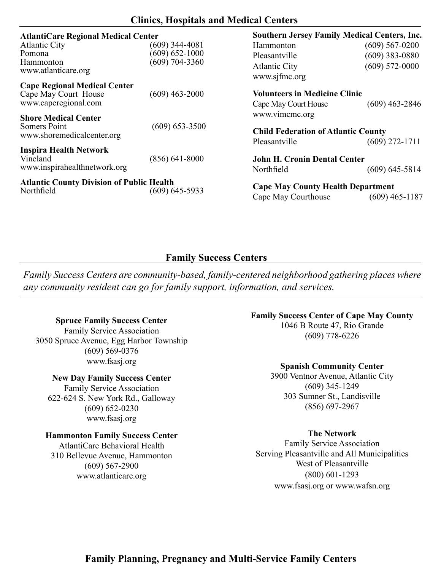# **Clinics, Hospitals and Medical Centers**

| <b>AtlantiCare Regional Medical Center</b>       |                    | <b>Southern Jersey Family Medical Centers, Inc.</b> |                    |
|--------------------------------------------------|--------------------|-----------------------------------------------------|--------------------|
| <b>Atlantic City</b>                             | (609) 344-4081     | Hammonton                                           | $(609)$ 567-0200   |
| Pomona                                           | $(609) 652 - 1000$ | Pleasantville                                       | $(609)$ 383-0880   |
| <b>Hammonton</b><br>www.atlanticare.org          | $(609)$ 704-3360   | <b>Atlantic City</b><br>www.sjfmc.org               | $(609) 572 - 0000$ |
| <b>Cape Regional Medical Center</b>              |                    |                                                     |                    |
| Cape May Court House                             | $(609)$ 463-2000   | <b>Volunteers in Medicine Clinic</b>                |                    |
| www.caperegional.com                             |                    | Cape May Court House                                | $(609)$ 463-2846   |
|                                                  |                    | www.vimcmc.org                                      |                    |
| <b>Shore Medical Center</b><br>Somers Point      | $(609) 653 - 3500$ |                                                     |                    |
| www.shoremedicalcenter.org                       |                    | <b>Child Federation of Atlantic County</b>          |                    |
|                                                  |                    | Pleasantville                                       | $(609)$ 272-1711   |
| <b>Inspira Health Network</b><br>Vineland        | $(856)$ 641-8000   | <b>John H. Cronin Dental Center</b>                 |                    |
| www.inspirahealthnetwork.org                     |                    | Northfield                                          | $(609)$ 645-5814   |
| <b>Atlantic County Division of Public Health</b> | $(609)$ 645-5933   | <b>Cape May County Health Department</b>            |                    |
| Northfield                                       |                    | Cape May Courthouse                                 | $(609)$ 465-1187   |

# **Family Success Centers**

*Family Success Centers are community-based, family-centered neighborhood gathering places where any community resident can go for family support, information, and services.* 

#### **Spruce Family Success Center**

Family Service Association 3050 Spruce Avenue, Egg Harbor Township (609) 569-0376 www.fsasj.org

#### **New Day Family Success Center**

Family Service Association 622-624 S. New York Rd., Galloway (609) 652-0230 www.fsasj.org

#### **Hammonton Family Success Center**

AtlantiCare Behavioral Health 310 Bellevue Avenue, Hammonton (609) 567-2900 www.atlanticare.org

#### **Family Success Center of Cape May County**

1046 B Route 47, Rio Grande (609) 778-6226

#### **Spanish Community Center**

3900 Ventnor Avenue, Atlantic City (609) 345-1249 303 Sumner St., Landisville (856) 697-2967

#### **The Network**

Family Service Association Serving Pleasantville and All Municipalities West of Pleasantville (800) 601-1293 www.fsasj.org or www.wafsn.org

# **Family Planning, Pregnancy and Multi-Service Family Centers**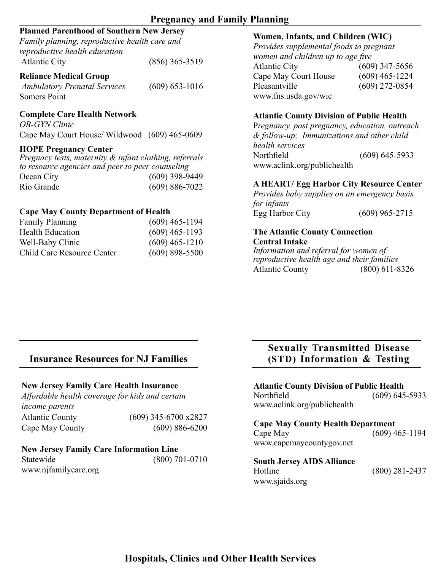# **Pregnancy and Family Planning**

# **Planned Parenthood of Southern New Jersey**

| Family planning, reproductive health care and |                  |
|-----------------------------------------------|------------------|
| reproductive health education                 |                  |
| <b>Atlantic City</b>                          | $(856)$ 365-3519 |

#### **Reliance Medical Group**

*Ambulatory Prenatal Services* (609) 653-1016 Somers Point

#### **Complete Care Health Network**

*OB-GYN Clinic* Cape May Court House/ Wildwood (609) 465-0609

#### **HOPE Pregnancy Center**

*Pregnacy tests, maternity & infant clothing, referrals to resource agencies and peer to peer counseling*  Ocean City (609) 398-9449 Rio Grande (609) 886-7022

#### **Cape May County Department of Health**

| <b>Family Planning</b>     | $(609)$ 465-1194 |
|----------------------------|------------------|
| <b>Health Education</b>    | $(609)$ 465-1193 |
| Well-Baby Clinic           | $(609)$ 465-1210 |
| Child Care Resource Center | $(609)$ 898-5500 |

#### **Women, Infants, and Children (WIC)**

*Provides supplemental foods to pregnant women and children up to age five* Atlantic City (609) 347-5656 Cape May Court House (609) 465-1224 Pleasantville (609) 272-0854 www.fns.usda.gov/wic

#### **Atlantic County Division of Public Health**

P*regnancy, post pregnancy, education, outreach & follow-up; Immunizations and other child health services* Northfield (609) 645-5933 www.aclink.org/publichealth

#### **A HEART/ Egg Harbor City Resource Center**

*Provides baby supplies on an emergency basis for infants* Egg Harbor City (609) 965-2715

#### **The Atlantic County Connection Central Intake**

*Information and referral for women of reproductive health age and their families* Atlantic County (800) 611-8326

# **Insurance Resources for NJ Families (STD) Information & Testing**

#### **New Jersey Family Care Health Insurance**

*Affordable health coverage for kids and certain income parents* Atlantic County (609) 345-6700 x2827 Cape May County (609) 886-6200

#### **New Jersey Family Care Information Line**

| Statewide            | $(800)$ 701-0710 |
|----------------------|------------------|
| www.njfamilycare.org |                  |

# **Sexually Transmitted Disease**

# **Atlantic County Division of Public Health**

Northfield (609) 645-5933 www.aclink.org/publichealth

#### **Cape May County Health Department**  $(609)$  465-1194 www.capemaycountygov.net

#### **South Jersey AIDS Alliance** Hotline (800) 281-2437 www.sjaids.org

**Hospitals, Clinics and Other Health Services**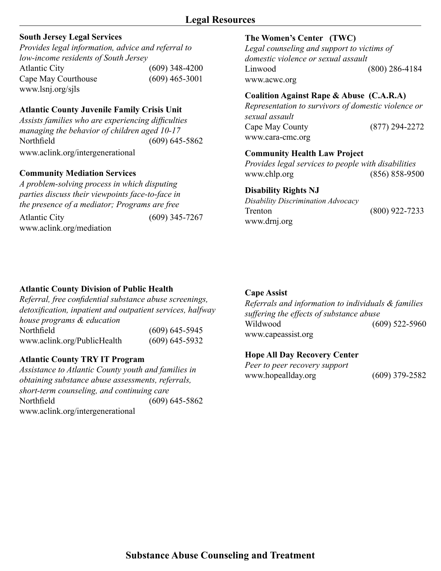# **South Jersey Legal Services**

*Provides legal information, advice and referral to low-income residents of South Jersey* Atlantic City (609) 348-4200 Cape May Courthouse (609) 465-3001 www.lsnj.org/sjls

# **Atlantic County Juvenile Family Crisis Unit**

*Assists families who are experiencing difficulties managing the behavior of children aged 10-17* Northfield (609) 645-5862 www.aclink.org/intergenerational

## **Community Mediation Services**

*A problem-solving process in which disputing parties discuss their viewpoints face-to-face in the presence of a mediator; Programs are free*

Atlantic City (609) 345-7267 www.aclink.org/mediation

#### **The Women's Center (TWC)**

*Legal counseling and support to victims of domestic violence or sexual assault* Linwood (800) 286-4184 www.acwc.org

#### **Coalition Against Rape & Abuse (C.A.R.A)**

*Representation to survivors of domestic violence or sexual assault* Cape May County (877) 294-2272 www.cara-cmc.org

#### **Community Health Law Project**

*Provides legal services to people with disabilities* www.chlp.org (856) 858-9500

#### **Disability Rights NJ**

*Disability Discrimination Advocacy* Trenton (800) 922-7233 www.drnj.org

# **Atlantic County Division of Public Health**

*Referral, free confidential substance abuse screenings, detoxification, inpatient and outpatient services, halfway house programs & education*  Northfield (609) 645-5945 www.aclink.org/PublicHealth (609) 645-5932

#### **Atlantic County TRY IT Program**

*Assistance to Atlantic County youth and families in obtaining substance abuse assessments, referrals, short-term counseling, and continuing care* Northfield (609) 645-5862 www.aclink.org/intergenerational

#### **Cape Assist**

*Referrals and information to individuals & families suffering the effects of substance abuse* Wildwood (609) 522-5960 www.capeassist.org

#### **Hope All Day Recovery Center**

*Peer to peer recovery support* www.hopeallday.org (609) 379-2582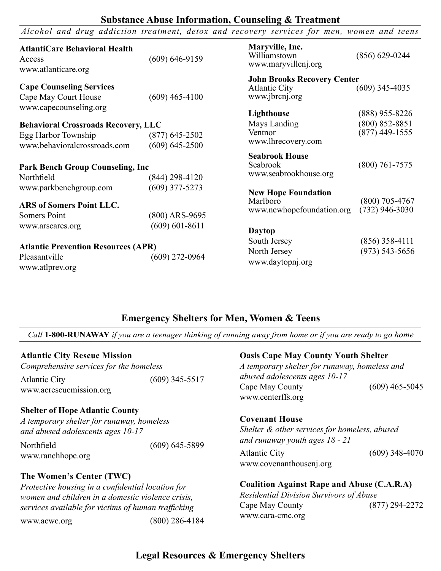#### **Substance Abuse Information, Counseling & Treatment**

*Alcohol and drug addiction treatment, detox and recovery services for men, women and teens*

| <b>AtlantiCare Behavioral Health</b><br>Access<br>www.atlanticare.org                                                       | $(609) 646 - 9159$                     | Maryville, Inc.<br>Williamstown<br>www.maryvillenj.org                       | $(856) 629 - 0244$                                         |
|-----------------------------------------------------------------------------------------------------------------------------|----------------------------------------|------------------------------------------------------------------------------|------------------------------------------------------------|
| <b>Cape Counseling Services</b><br>Cape May Court House                                                                     | $(609)$ 465-4100                       | <b>John Brooks Recovery Center</b><br><b>Atlantic City</b><br>www.jbrcnj.org | $(609)$ 345-4035                                           |
| www.capecounseling.org<br><b>Behavioral Crossroads Recovery, LLC</b><br>Egg Harbor Township<br>www.behavioralcrossroads.com | $(877)$ 645-2502<br>$(609) 645 - 2500$ | Lighthouse<br>Mays Landing<br>Ventnor<br>www.lhrecovery.com                  | $(888)$ 955-8226<br>$(800) 852 - 8851$<br>$(877)$ 449-1555 |
| <b>Park Bench Group Counseling, Inc.</b><br>Northfield                                                                      | $(844)$ 298-4120                       | <b>Seabrook House</b><br>Seabrook<br>www.seabrookhouse.org                   | $(800)$ 761-7575                                           |
| www.parkbenchgroup.com<br><b>ARS of Somers Point LLC.</b><br>Somers Point                                                   | $(609)$ 377-5273<br>$(800)$ ARS-9695   | <b>New Hope Foundation</b><br>Marlboro<br>www.newhopefoundation.org          | (800) 705-4767<br>$(732)$ 946-3030                         |
| www.arscares.org<br><b>Atlantic Prevention Resources (APR)</b><br>Pleasantville<br>www.atlprev.org                          | $(609) 601 - 8611$<br>$(609)$ 272-0964 | <b>Daytop</b><br>South Jersey<br>North Jersey<br>www.daytopnj.org            | $(856)$ 358-4111<br>$(973) 543 - 5656$                     |

# **Emergency Shelters for Men, Women & Teens**

*Call* **1-800-RUNAWAY** *if you are a teenager thinking of running away from home or if you are ready to go home*

#### **Atlantic City Rescue Mission**

| Comprehensive services for the homeless |                  |
|-----------------------------------------|------------------|
| <b>Atlantic City</b>                    | $(609)$ 345-5517 |
| www.acrescuemission.org                 |                  |

#### **Shelter of Hope Atlantic County**

*A temporary shelter for runaway, homeless and abused adolescents ages 10-17*

Northfield (609) 645-5899 www.ranchhope.org

#### **The Women's Center (TWC)**

*Protective housing in a confidential location for women and children in a domestic violence crisis, services available for victims of human trafficking*  www.acwc.org (800) 286-4184

#### **Oasis Cape May County Youth Shelter**

*A temporary shelter for runaway, homeless and abused adolescents ages 10-17* Cape May County (609) 465-5045 www.centerffs.org

#### **Covenant House**

*Shelter & other services for homeless, abused and runaway youth ages 18 - 21*

Atlantic City (609) 348-4070 www.covenanthousenj.org

#### **Coalition Against Rape and Abuse (C.A.R.A)**

*Residential Division Survivors of Abuse* Cape May County (877) 294-2272 www.cara-cmc.org